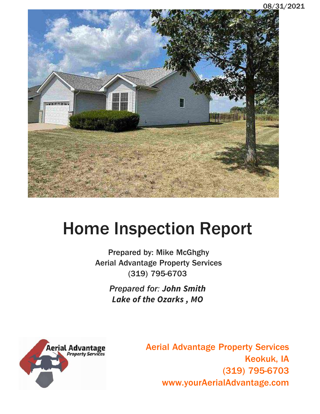

# Home Inspection Report

**Prepared by: Mike McGhghy Aerial Advantage Property Services (319) 795-6703**

> *Prepared for*: **John Smith Lake of the Ozarks , MO**



**Aerial Advantage Property Services Keokuk, IA**  Troperty Services<br>Keokuk, IA<br>(319) 795-6703<br>IAdvantage.com **www.yourAerialAdvantage.com**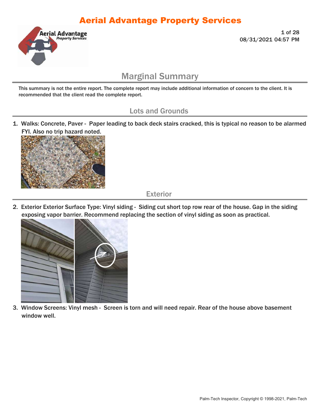

**1 of 28 08/31/2021 04:57 PM** 

### Marginal Summary

This summary is not the entire report. The complete report may include additional information of concern to the client. It is recommended that the client read the complete report.

#### Lots and Grounds

1. Walks: Concrete, Paver - Paper leading to back deck stairs cracked, this is typical no reason to be alarmed FYI. Also no trip hazard noted.



Exterior

2. Exterior Exterior Surface Type: Vinyl siding - Siding cut short top row rear of the house. Gap in the siding exposing vapor barrier. Recommend replacing the section of vinyl siding as soon as practical.



3. Window Screens: Vinyl mesh - Screen is torn and will need repair. Rear of the house above basement window well.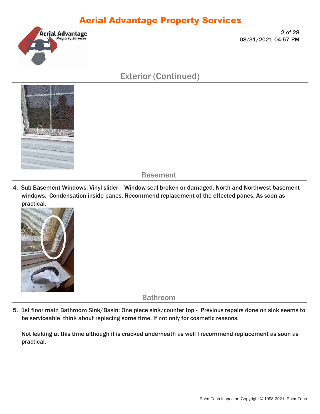

**2 of 28 08/31/2021 04:57 PM** 

### Exterior (Continued)



**Basement** 

4. Sub Basement Windows: Vinyl slider - Window seal broken or damaged, North and Northwest basement windows. Condensation inside panes. Recommend replacement of the effected panes, As soon as practical.



Bathroom

5. 1st floor main Bathroom Sink/Basin: One piece sink/counter top - Previous repairs done on sink seems to be serviceable think about replacing some time. If not only for cosmetic reasons.

Not leaking at this time although it is cracked underneath as well I recommend replacement as soon as practical.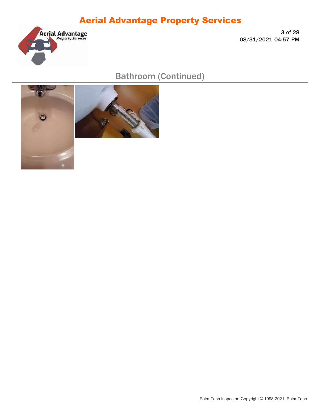

**3 of 28 08/31/2021 04:57 PM** 

Bathroom (Continued)



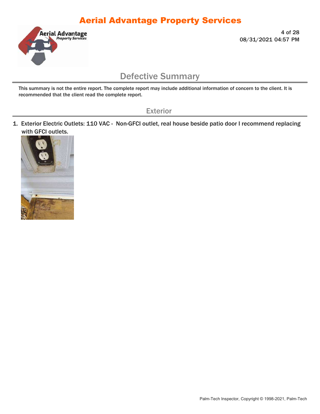

**4 of 28 08/31/2021 04:57 PM** 

#### Defective Summary

This summary is not the entire report. The complete report may include additional information of concern to the client. It is recommended that the client read the complete report.

Exterior

1. Exterior Electric Outlets: 110 VAC - Non-GFCI outlet, real house beside patio door I recommend replacing with GFCI outlets.

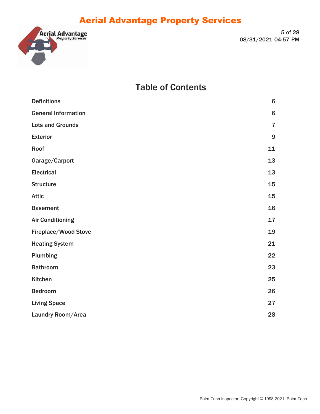

**5 of 28 08/31/2021 04:57 PM** 

#### Table of Contents

| <b>Definitions</b>         | 6              |
|----------------------------|----------------|
| <b>General Information</b> | $6\phantom{1}$ |
| <b>Lots and Grounds</b>    | $\overline{7}$ |
| <b>Exterior</b>            | 9              |
| Roof                       | 11             |
| Garage/Carport             | 13             |
| <b>Electrical</b>          | 13             |
| <b>Structure</b>           | 15             |
| <b>Attic</b>               | 15             |
| <b>Basement</b>            | 16             |
| <b>Air Conditioning</b>    | 17             |
| Fireplace/Wood Stove       | 19             |
| <b>Heating System</b>      | 21             |
| Plumbing                   | 22             |
| <b>Bathroom</b>            | 23             |
| Kitchen                    | 25             |
| <b>Bedroom</b>             | 26             |
| <b>Living Space</b>        | 27             |
| Laundry Room/Area          | 28             |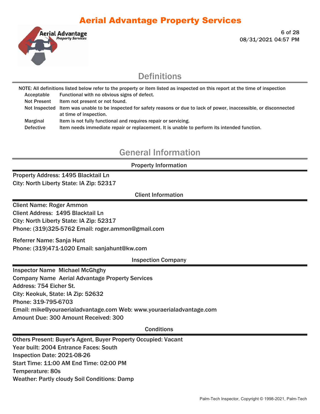

**6 of 28 08/31/2021 04:57 PM** 

#### **Definitions**

NOTE: All definitions listed below refer to the property or item listed as inspected on this report at the time of inspection Acceptable Functional with no obvious signs of defect.

Not Present Item not present or not found.

Not Inspected Item was unable to be inspected for safety reasons or due to lack of power, inaccessible, or disconnected at time of inspection.

Marginal Item is not fully functional and requires repair or servicing.

Defective Item needs immediate repair or replacement. It is unable to perform its intended function.

### General Information

#### Property Information

Property Address: 1495 Blacktail Ln City: North Liberty State: IA Zip: 52317

Client Information

Client Name: Roger Ammon Client Address: 1495 Blacktail Ln City: North Liberty State: IA Zip: 52317 Phone: (319)325-5762 Email: roger.ammon@gmail.com

Referrer Name: Sanja Hunt Phone: (319)471-1020 Email: sanjahunt@kw.com

Inspection Company

Inspector Name Michael McGhghy Company Name Aerial Advantage Property Services Address: 754 Eicher St. City: Keokuk, State: IA Zip: 52632 Phone: 319-795-6703 Email: mike@youraerialadvantage.com Web: www.youraerialadvantage.com Amount Due: 300 Amount Received: 300

#### **Conditions**

Others Present: Buyer's Agent, Buyer Property Occupied: Vacant Year built: 2004 Entrance Faces: South Inspection Date: 2021-08-26 Start Time: 11:00 AM End Time: 02:00 PM Temperature: 80s Weather: Partly cloudy Soil Conditions: Damp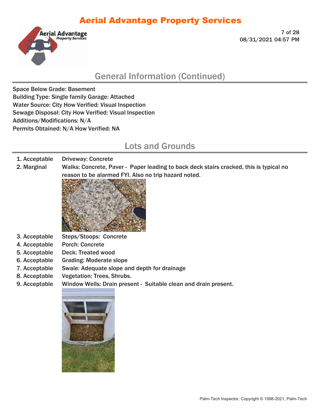

**7 of 28 08/31/2021 04:57 PM** 

### General Information (Continued)

Space Below Grade: Basement Building Type: Single family Garage: Attached Water Source: City How Verified: Visual Inspection Sewage Disposal: City How Verified: Visual Inspection Additions/Modifications: N/A Permits Obtained: N/A How Verified: NA

#### Lots and Grounds

#### 1. Acceptable Driveway: Concrete

2. Marginal Walks: Concrete, Paver - Paper leading to back deck stairs cracked, this is typical no



- 3. Acceptable Steps/Stoops: Concrete
- 4. Acceptable Porch: Concrete
- 5. Acceptable Deck: Treated wood
- 6. Acceptable Grading: Moderate slope
- 7. Acceptable Swale: Adequate slope and depth for drainage
- 8. Acceptable Vegetation: Trees, Shrubs.
- 9. Acceptable Window Wells: Drain present Suitable clean and drain present.

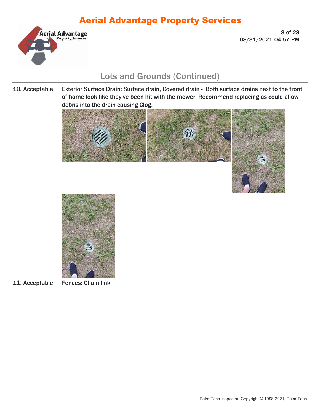

**8 of 28 08/31/2021 04:57 PM** 

#### Lots and Grounds (Continued)

#### 10. Acceptable Exterior Surface Drain: Surface drain, Covered drain - Both surface drains next to the front of home look like they've been hit with the mower. Recommend replacing as could allow debris into the drain causing Clog.





11. Acceptable Fences: Chain link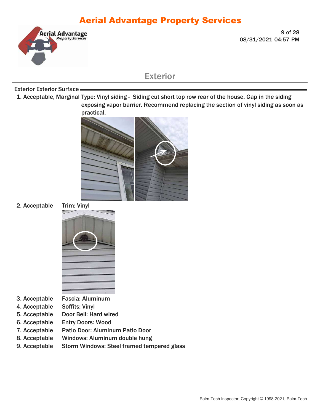

**9 of 28 08/31/2021 04:57 PM** 

#### Exterior

#### Exterior Exterior Surface

1. Acceptable, Marginal Type: Vinyl siding - Siding cut short top row rear of the house. Gap in the siding exposing vapor barrier. Recommend replacing the section of vinyl siding as soon as practical.



#### 2. Acceptable Trim: Vinyl

- 3. Acceptable Fascia: Aluminum
- 4. Acceptable Soffits: Vinyl
- 5. Acceptable Door Bell: Hard wired
- 6. Acceptable Entry Doors: Wood
- 7. Acceptable Patio Door: Aluminum Patio Door
- 8. Acceptable Windows: Aluminum double hung
- 9. Acceptable Storm Windows: Steel framed tempered glass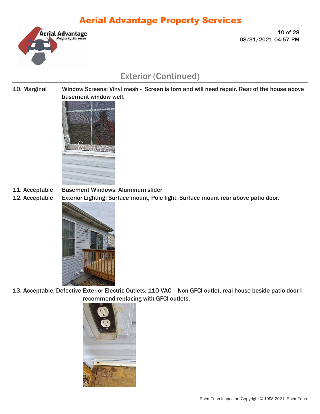

**10 of 28 08/31/2021 04:57 PM** 

### Exterior (Continued)

10. Marginal Window Screens: Vinyl mesh - Screen is torn and will need repair. Rear of the house above basement window well.



11. Acceptable Basement Windows: Aluminum slider

12. Acceptable Exterior Lighting: Surface mount, Pole light, Surface mount rear above patio door.



13. Acceptable, Defective Exterior Electric Outlets: 110 VAC - Non-GFCI outlet, real house beside patio door I recommend replacing with GFCI outlets.

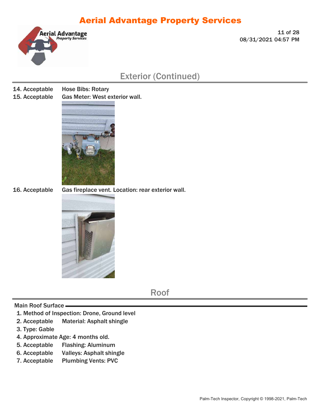

**11 of 28 08/31/2021 04:57 PM** 

#### Exterior (Continued)

- 14. Acceptable Hose Bibs: Rotary
- 
- 15. Acceptable Gas Meter: West exterior wall.



16. Acceptable Gas fireplace vent. Location: rear exterior wall.



Roof

#### Main Roof Surface

- 1. Method of Inspection: Drone, Ground level
- 2. Acceptable Material: Asphalt shingle
- 3. Type: Gable
- 4. Approximate Age: 4 months old.
- 5. Acceptable Flashing: Aluminum
- 6. Acceptable Valleys: Asphalt shingle
- 7. Acceptable Plumbing Vents: PVC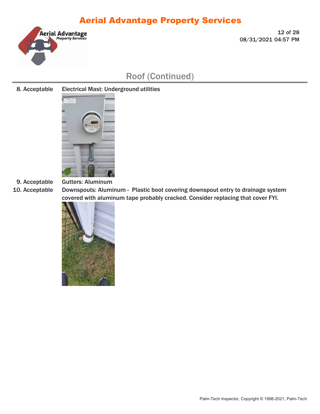

**12 of 28 08/31/2021 04:57 PM** 

### Roof (Continued)

8. Acceptable Electrical Mast: Underground utilities



9. Acceptable Gutters: Aluminum

10. Acceptable Downspouts: Aluminum - Plastic boot covering downspout entry to drainage system covered with aluminum tape probably cracked. Consider replacing that cover FYI.

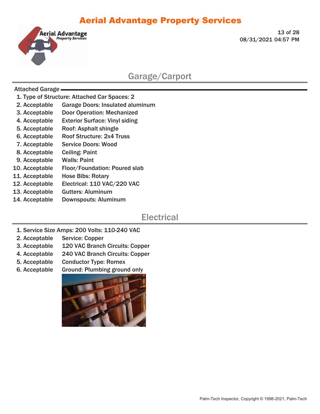

**13 of 28 08/31/2021 04:57 PM** 

#### Garage/Carport

#### Attached Garage

- 1. Type of Structure: Attached Car Spaces: 2
- 2. Acceptable Garage Doors: Insulated aluminum
- 3. Acceptable Door Operation: Mechanized
- 4. Acceptable Exterior Surface: Vinyl siding
- 5. Acceptable Roof: Asphalt shingle
- 6. Acceptable Roof Structure: 2x4 Truss
- 7. Acceptable Service Doors: Wood
- 8. Acceptable Ceiling: Paint
- 9. Acceptable Walls: Paint
- 10. Acceptable Floor/Foundation: Poured slab
- 11. Acceptable Hose Bibs: Rotary
- 12. Acceptable Electrical: 110 VAC/220 VAC
- 13. Acceptable Gutters: Aluminum
- 14. Acceptable Downspouts: Aluminum

#### **Electrical**

- 1. Service Size Amps: 200 Volts: 110-240 VAC
- 2. Acceptable Service: Copper
- 3. Acceptable 120 VAC Branch Circuits: Copper
- 4. Acceptable 240 VAC Branch Circuits: Copper
- 5. Acceptable Conductor Type: Romex
- 6. Acceptable Ground: Plumbing ground only

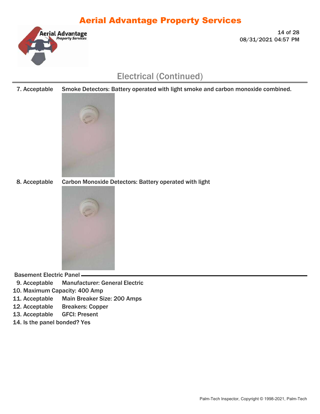

**14 of 28 08/31/2021 04:57 PM** 

### Electrical (Continued)

7. Acceptable Smoke Detectors: Battery operated with light smoke and carbon monoxide combined.



8. Acceptable Carbon Monoxide Detectors: Battery operated with light



Basement Electric Panel

9. Acceptable Manufacturer: General Electric

10. Maximum Capacity: 400 Amp

- 11. Acceptable Main Breaker Size: 200 Amps
- 12. Acceptable Breakers: Copper
- 13. Acceptable GFCI: Present
- 14. Is the panel bonded? Yes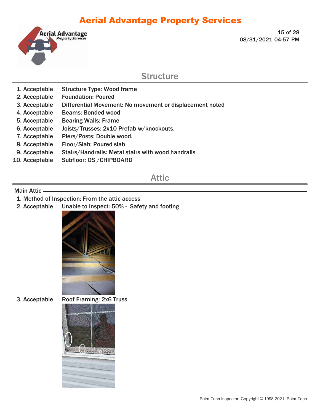

**15 of 28 08/31/2021 04:57 PM** 

#### **Structure**

- 1. Acceptable Structure Type: Wood frame
- 2. Acceptable Foundation: Poured
- 3. Acceptable Differential Movement: No movement or displacement noted
- 4. Acceptable Beams: Bonded wood
- 5. Acceptable Bearing Walls: Frame
- 6. Acceptable Joists/Trusses: 2x10 Prefab w/knockouts.
- 7. Acceptable Piers/Posts: Double wood.
- 8. Acceptable Floor/Slab: Poured slab
- 9. Acceptable Stairs/Handrails: Metal stairs with wood handrails
- 10. Acceptable Subfloor: OS /CHIPBOARD

#### Attic

#### Main Attic

- 1. Method of Inspection: From the attic access
- 2. Acceptable Unable to Inspect: 50% Safety and footing



3. Acceptable Roof Framing: 2x6 Truss

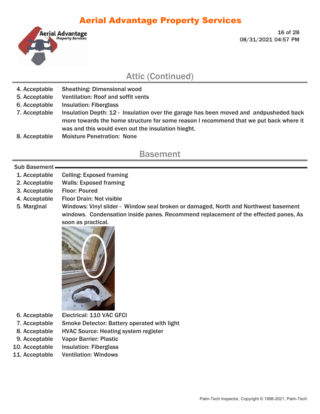

**16 of 28 08/31/2021 04:57 PM** 

#### Attic (Continued)

- 4. Acceptable Sheathing: Dimensional wood
- 5. Acceptable Ventilation: Roof and soffit vents
- 6. Acceptable Insulation: Fiberglass
- 7. Acceptable Insulation Depth: 12 Insulation over the garage has been moved and andpusheded back more towards the home structure for some reason I recommend that we put back where it was and this would even out the insulation hieght.
- 8. Acceptable Moisture Penetration: None

#### **Basement**

#### Sub Basement

- 1. Acceptable Ceiling: Exposed framing
- 2. Acceptable Walls: Exposed framing
- 3. Acceptable Floor: Poured
- 4. Acceptable Floor Drain: Not visible
- 5. Marginal Windows: Vinyl slider Window seal broken or damaged, North and Northwest basement windows. Condensation inside panes. Recommend replacement of the effected panes, As soon as practical.



- 6. Acceptable Electrical: 110 VAC GFCI
- 7. Acceptable Smoke Detector: Battery operated with light
- 8. Acceptable HVAC Source: Heating system register
- 9. Acceptable Vapor Barrier: Plastic
- 10. Acceptable Insulation: Fiberglass
- 11. Acceptable Ventilation: Windows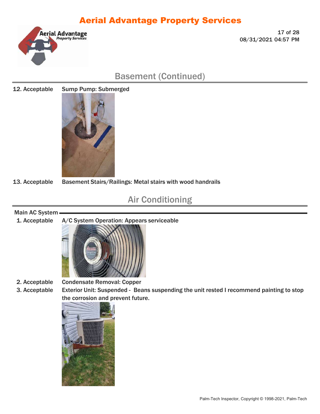

**17 of 28 08/31/2021 04:57 PM** 

### Basement (Continued)

#### 12. Acceptable Sump Pump: Submerged



13. Acceptable Basement Stairs/Railings: Metal stairs with wood handrails

## Air Conditioning

#### Main AC System

#### 1. Acceptable A/C System Operation: Appears serviceable



3. Acceptable Exterior Unit: Suspended - Beans suspending the unit rested I recommend painting to stop the corrosion and prevent future.

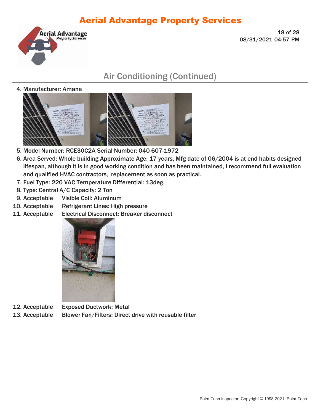

**18 of 28 08/31/2021 04:57 PM** 

## Air Conditioning (Continued)

4. Manufacturer: Amana



- 5. Model Number: RCE30C2A Serial Number: 040-607-1972
- 6. Area Served: Whole building Approximate Age: 17 years, Mfg date of 06/2004 is at end habits designed lifespan, although it is in good working condition and has been maintained, I recommend full evaluation and qualified HVAC contractors, replacement as soon as practical.
- 7. Fuel Type: 220 VAC Temperature Differential: 13deg.
- 8. Type: Central A/C Capacity: 2 Ton
- 9. Acceptable Visible Coil: Aluminum
- 10. Acceptable Refrigerant Lines: High pressure
- 11. Acceptable Electrical Disconnect: Breaker disconnect



12. Acceptable Exposed Ductwork: Metal 13. Acceptable Blower Fan/Filters: Direct drive with reusable filter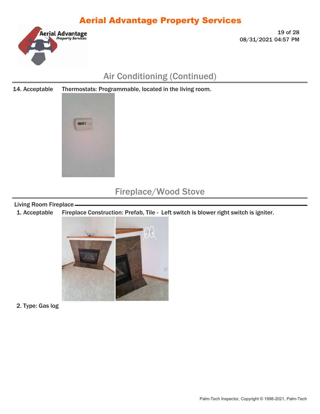

**19 of 28 08/31/2021 04:57 PM** 

## Air Conditioning (Continued)

14. Acceptable Thermostats: Programmable, located in the living room.



#### Fireplace/Wood Stove

Living Room Fireplace

1. Acceptable Fireplace Construction: Prefab, Tile - Left switch is blower right switch is igniter.



2. Type: Gas log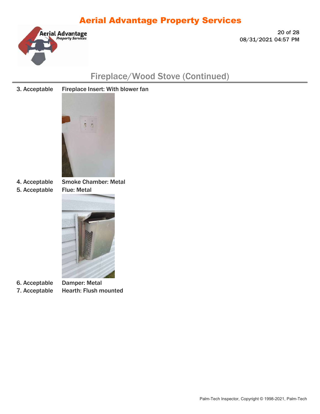

**20 of 28 08/31/2021 04:57 PM** 

## Fireplace/Wood Stove (Continued)

3. Acceptable Fireplace Insert: With blower fan



5. Acceptable Flue: Metal

4. Acceptable Smoke Chamber: Metal



6. Acceptable Damper: Metal

7. Acceptable Hearth: Flush mounted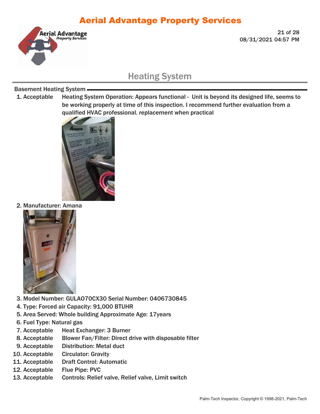

**21 of 28 08/31/2021 04:57 PM** 

### Heating System

#### Basement Heating System

1. Acceptable Heating System Operation: Appears functional - Unit is beyond its designed life, seems to be working properly at time of this inspection. I recommend further evaluation from a qualified HVAC professional. replacement when practical



2. Manufacturer: Amana



- 3. Model Number: GULAO70CX30 Serial Number: 0406730845
- 4. Type: Forced air Capacity: 91,000 BTUHR
- 5. Area Served: Whole building Approximate Age: 17years
- 6. Fuel Type: Natural gas
- 7. Acceptable Heat Exchanger: 3 Burner
- 8. Acceptable Blower Fan/Filter: Direct drive with disposable filter
- 9. Acceptable Distribution: Metal duct
- 10. Acceptable Circulator: Gravity
- 11. Acceptable Draft Control: Automatic
- 12. Acceptable Flue Pipe: PVC
- 13. Acceptable Circulator: Relief valve, Relief valve, Limit switch<br>13. Acceptable Circulator: Gravity<br>11. Acceptable Draft Control: Automatic<br>12. Acceptable Flue Pipe: PVC<br>13. Acceptable Controls: Relief valve, Relief val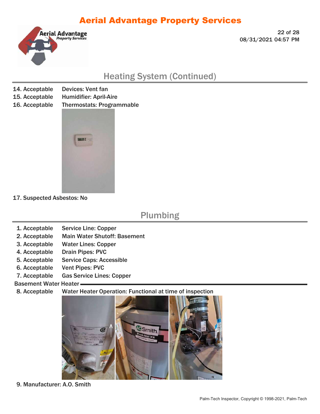

**22 of 28 08/31/2021 04:57 PM** 

### Heating System (Continued)

- 14. Acceptable Devices: Vent fan
- 15. Acceptable Humidifier: April-Aire
- 16. Acceptable Thermostats: Programmable



17. Suspected Asbestos: No

#### Plumbing

- 1. Acceptable Service Line: Copper
- 2. Acceptable Main Water Shutoff: Basement
- 3. Acceptable Water Lines: Copper
- 4. Acceptable Drain Pipes: PVC
- 5. Acceptable Service Caps: Accessible
- 6. Acceptable Vent Pipes: PVC
- 7. Acceptable Gas Service Lines: Copper
- Basement Water Heater
- 8. Acceptable Water Heater Operation: Functional at time of inspection



9. Manufacturer: A.O. Smith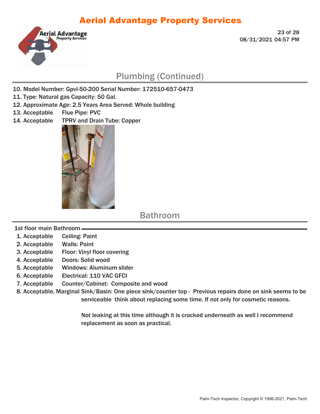

**23 of 28 08/31/2021 04:57 PM** 

### Plumbing (Continued)

- 10. Model Number: Gpvl-50-200 Serial Number: 172510-657-0473
- 11. Type: Natural gas Capacity: 50 Gal.
- 12. Approximate Age: 2.5 Years Area Served: Whole building
- 13. Acceptable Flue Pipe: PVC
- 14. Acceptable TPRV and Drain Tube: Copper



Bathroom

1st floor main Bathroom

- 1. Acceptable Ceiling: Paint
- 2. Acceptable Walls: Paint
- 3. Acceptable Floor: Vinyl floor covering
- 4. Acceptable Doors: Solid wood
- 5. Acceptable Windows: Aluminum slider
- 6. Acceptable Electrical: 110 VAC GFCI
- 7. Acceptable Counter/Cabinet: Composite and wood

8. Acceptable, Marginal Sink/Basin: One piece sink/counter top - Previous repairs done on sink seems to be serviceable think about replacing some time. If not only for cosmetic reasons.

> Not leaking at this time although it is cracked underneath as well I recommend replacement as soon as practical.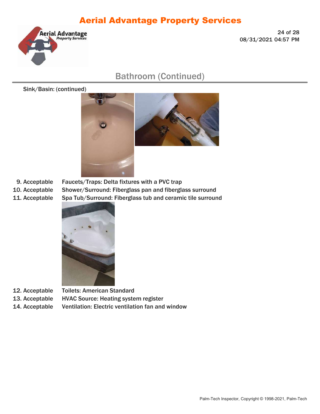

**24 of 28 08/31/2021 04:57 PM** 

### Bathroom (Continued)

Sink/Basin: (continued)





9. Acceptable Faucets/Traps: Delta fixtures with a PVC trap

10. Acceptable Shower/Surround: Fiberglass pan and fiberglass surround

11. Acceptable Spa Tub/Surround: Fiberglass tub and ceramic tile surround



12. Acceptable Toilets: American Standard

13. Acceptable HVAC Source: Heating system register

14. Acceptable Ventilation: Electric ventilation fan and window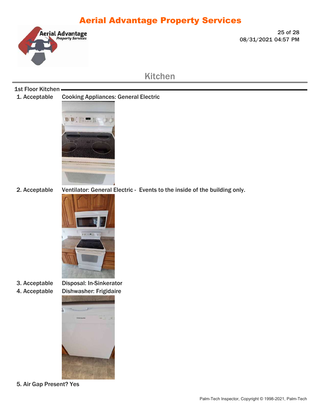

**25 of 28 08/31/2021 04:57 PM** 

#### Kitchen

#### 1st Floor Kitchen -

1. Acceptable Cooking Appliances: General Electric



2. Acceptable Ventilator: General Electric - Events to the inside of the building only.



3. Acceptable Disposal: In-Sinkerator 4. Acceptable Dishwasher: Frigidaire



5. Air Gap Present? Yes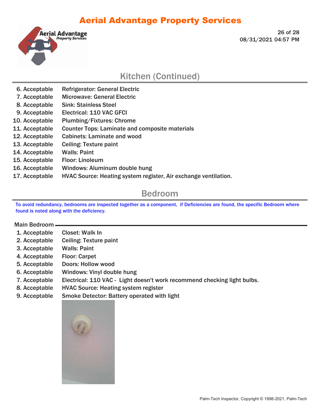

**26 of 28 08/31/2021 04:57 PM** 

#### Kitchen (Continued)

- 6. Acceptable Refrigerator: General Electric
- 7. Acceptable Microwave: General Electric
- 8. Acceptable Sink: Stainless Steel
- 9. Acceptable Electrical: 110 VAC GFCI
- 
- 6. Acceptable Refrigerator: General Electric<br>
7. Acceptable Microwave: General Electric<br>
8. Acceptable Sink: Stainless Steel<br>
9. Acceptable Electrical: 110 VAC GFCI<br>
10. Acceptable Plumbing/Fixtures: Chrome<br>
11. Acceptable 11. Acceptable Counter Tops: Laminate and composite materials
- 12. Acceptable Cabinets: Laminate and wood
- 13. Acceptable Ceiling: Texture paint
- 14. Acceptable Walls: Paint
- 15. Acceptable Floor: Linoleum
- 16. Acceptable Windows: Aluminum double hung
- 17. Acceptable HVAC Source: Heating system register, Air exchange ventilation.

#### Bedroom

To avoid redundancy, bedrooms are inspected together as a component, if Deficiencies are found, the specific Bedroom where found is noted along with the deficiency.

#### Main Bedroom

- 1. Acceptable Closet: Walk In
- 2. Acceptable Ceiling: Texture paint
- 3. Acceptable Walls: Paint
- 4. Acceptable Floor: Carpet
- 5. Acceptable Doors: Hollow wood
- 6. Acceptable Windows: Vinyl double hung
- 7. Acceptable Electrical: 110 VAC Light doesn't work recommend checking light bulbs.
- 8. Acceptable HVAC Source: Heating system register
- 9. Acceptable Smoke Detector: Battery operated with light

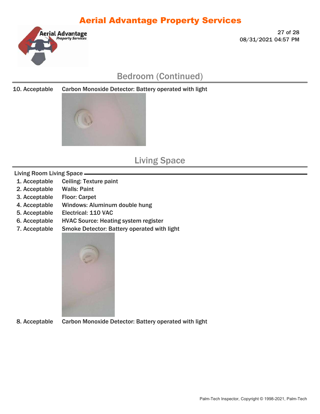

**27 of 28 08/31/2021 04:57 PM** 

## Bedroom (Continued)

10. Acceptable Carbon Monoxide Detector: Battery operated with light



### Living Space

#### Living Room Living Space

- 1. Acceptable Ceiling: Texture paint
- 2. Acceptable Walls: Paint
- 3. Acceptable Floor: Carpet
- 4. Acceptable Windows: Aluminum double hung
- 5. Acceptable Electrical: 110 VAC
- 6. Acceptable HVAC Source: Heating system register
- 7. Acceptable Smoke Detector: Battery operated with light



8. Acceptable Carbon Monoxide Detector: Battery operated with light